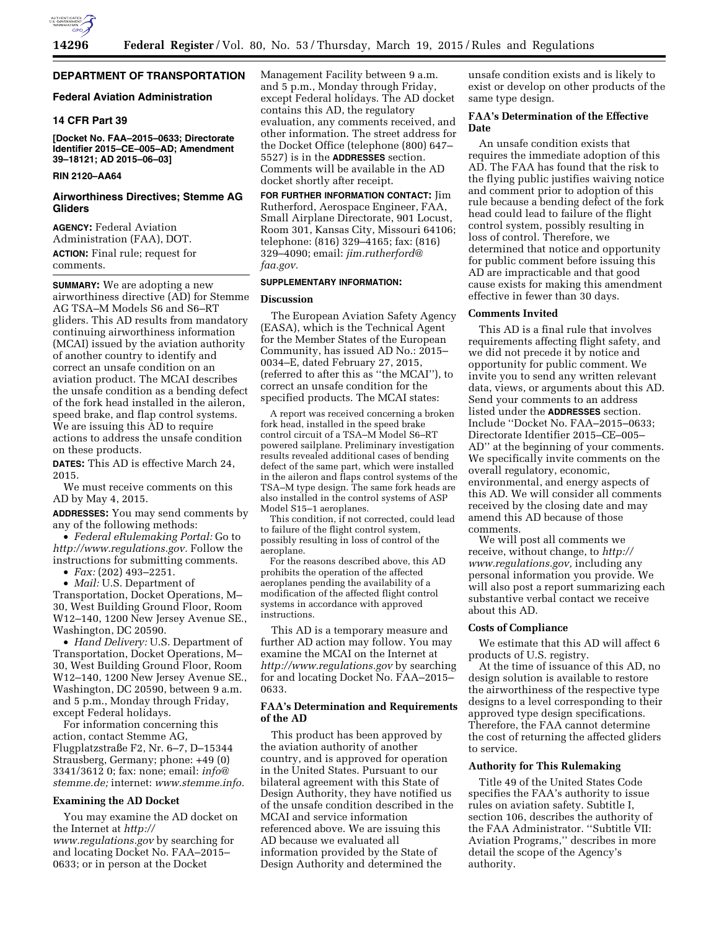

## **DEPARTMENT OF TRANSPORTATION**

### **Federal Aviation Administration**

### **14 CFR Part 39**

**[Docket No. FAA–2015–0633; Directorate Identifier 2015–CE–005–AD; Amendment 39–18121; AD 2015–06–03]** 

## **RIN 2120–AA64**

#### **Airworthiness Directives; Stemme AG Gliders**

**AGENCY:** Federal Aviation Administration (FAA), DOT. **ACTION:** Final rule; request for comments.

**SUMMARY:** We are adopting a new airworthiness directive (AD) for Stemme AG TSA–M Models S6 and S6–RT gliders. This AD results from mandatory continuing airworthiness information (MCAI) issued by the aviation authority of another country to identify and correct an unsafe condition on an aviation product. The MCAI describes the unsafe condition as a bending defect of the fork head installed in the aileron, speed brake, and flap control systems. We are issuing this AD to require actions to address the unsafe condition on these products.

**DATES:** This AD is effective March 24, 2015.

We must receive comments on this AD by May 4, 2015.

**ADDRESSES:** You may send comments by any of the following methods:

• *Federal eRulemaking Portal:* Go to *[http://www.regulations.gov.](http://www.regulations.gov)* Follow the instructions for submitting comments.

• *Fax:* (202) 493–2251.

• *Mail:* U.S. Department of Transportation, Docket Operations, M– 30, West Building Ground Floor, Room W12–140, 1200 New Jersey Avenue SE., Washington, DC 20590.

• *Hand Delivery:* U.S. Department of Transportation, Docket Operations, M– 30, West Building Ground Floor, Room W12–140, 1200 New Jersey Avenue SE., Washington, DC 20590, between 9 a.m. and 5 p.m., Monday through Friday, except Federal holidays.

For information concerning this action, contact Stemme AG, Flugplatzstraße F2, Nr. 6–7, D–15344 Strausberg, Germany; phone: +49 (0) 3341/3612 0; fax: none; email: *[info@](mailto:info@stemme.de) [stemme.de;](mailto:info@stemme.de)* internet: *[www.stemme.info.](http://www.stemme.info)* 

#### **Examining the AD Docket**

You may examine the AD docket on the Internet at *[http://](http://www.regulations.gov) [www.regulations.gov](http://www.regulations.gov)* by searching for and locating Docket No. FAA–2015– 0633; or in person at the Docket

Management Facility between 9 a.m. and 5 p.m., Monday through Friday, except Federal holidays. The AD docket contains this AD, the regulatory evaluation, any comments received, and other information. The street address for the Docket Office (telephone (800) 647– 5527) is in the **ADDRESSES** section. Comments will be available in the AD docket shortly after receipt.

**FOR FURTHER INFORMATION CONTACT:** Jim Rutherford, Aerospace Engineer, FAA, Small Airplane Directorate, 901 Locust, Room 301, Kansas City, Missouri 64106; telephone: (816) 329–4165; fax: (816) 329–4090; email: *[jim.rutherford@](mailto:jim.rutherford@faa.gov) [faa.gov.](mailto:jim.rutherford@faa.gov)* 

#### **SUPPLEMENTARY INFORMATION:**

#### **Discussion**

The European Aviation Safety Agency (EASA), which is the Technical Agent for the Member States of the European Community, has issued AD No.: 2015– 0034–E, dated February 27, 2015, (referred to after this as ''the MCAI''), to correct an unsafe condition for the specified products. The MCAI states:

A report was received concerning a broken fork head, installed in the speed brake control circuit of a TSA–M Model S6–RT powered sailplane. Preliminary investigation results revealed additional cases of bending defect of the same part, which were installed in the aileron and flaps control systems of the TSA–M type design. The same fork heads are also installed in the control systems of ASP Model S15–1 aeroplanes.

This condition, if not corrected, could lead to failure of the flight control system, possibly resulting in loss of control of the aeroplane.

For the reasons described above, this AD prohibits the operation of the affected aeroplanes pending the availability of a modification of the affected flight control systems in accordance with approved instructions.

This AD is a temporary measure and further AD action may follow. You may examine the MCAI on the Internet at *<http://www.regulations.gov>* by searching for and locating Docket No. FAA–2015– 0633.

### **FAA's Determination and Requirements of the AD**

This product has been approved by the aviation authority of another country, and is approved for operation in the United States. Pursuant to our bilateral agreement with this State of Design Authority, they have notified us of the unsafe condition described in the MCAI and service information referenced above. We are issuing this AD because we evaluated all information provided by the State of Design Authority and determined the

unsafe condition exists and is likely to exist or develop on other products of the same type design.

## **FAA's Determination of the Effective Date**

An unsafe condition exists that requires the immediate adoption of this AD. The FAA has found that the risk to the flying public justifies waiving notice and comment prior to adoption of this rule because a bending defect of the fork head could lead to failure of the flight control system, possibly resulting in loss of control. Therefore, we determined that notice and opportunity for public comment before issuing this AD are impracticable and that good cause exists for making this amendment effective in fewer than 30 days.

### **Comments Invited**

This AD is a final rule that involves requirements affecting flight safety, and we did not precede it by notice and opportunity for public comment. We invite you to send any written relevant data, views, or arguments about this AD. Send your comments to an address listed under the **ADDRESSES** section. Include ''Docket No. FAA–2015–0633; Directorate Identifier 2015–CE–005– AD'' at the beginning of your comments. We specifically invite comments on the overall regulatory, economic, environmental, and energy aspects of this AD. We will consider all comments received by the closing date and may amend this AD because of those comments.

We will post all comments we receive, without change, to *[http://](http://www.regulations.gov) [www.regulations.gov,](http://www.regulations.gov)* including any personal information you provide. We will also post a report summarizing each substantive verbal contact we receive about this AD.

#### **Costs of Compliance**

We estimate that this AD will affect 6 products of U.S. registry.

At the time of issuance of this AD, no design solution is available to restore the airworthiness of the respective type designs to a level corresponding to their approved type design specifications. Therefore, the FAA cannot determine the cost of returning the affected gliders to service.

### **Authority for This Rulemaking**

Title 49 of the United States Code specifies the FAA's authority to issue rules on aviation safety. Subtitle I, section 106, describes the authority of the FAA Administrator. ''Subtitle VII: Aviation Programs,'' describes in more detail the scope of the Agency's authority.